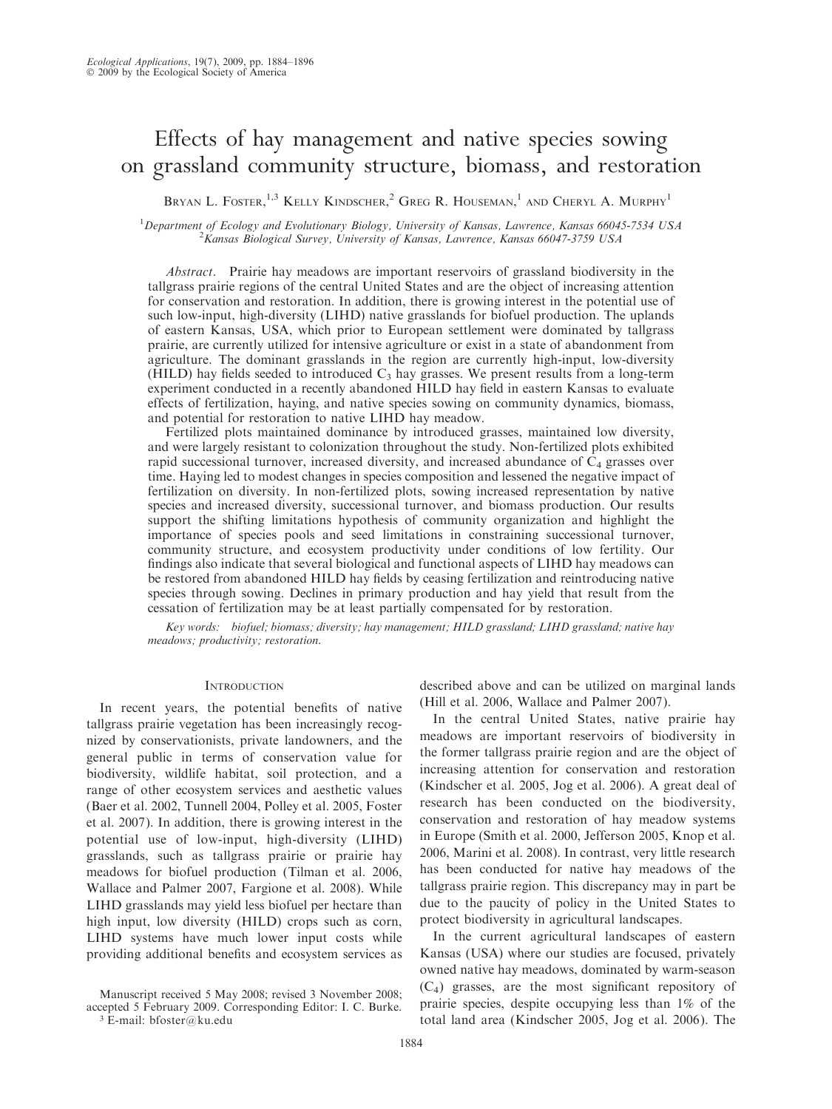# Effects of hay management and native species sowing on grassland community structure, biomass, and restoration

Bryan L. Foster,  $^{1,3}$  Kelly Kindscher,  $^2$  Greg R. Houseman,  $^1$  and Cheryl A. Murphy<sup>1</sup>

<sup>1</sup>Department of Ecology and Evolutionary Biology, University of Kansas, Lawrence, Kansas 66045-7534 USA<br><sup>2</sup>Kansas Biological Survay, University of Kansas, Lawrence, Kansas 66047, 2750 USA  ${}^{2}$ Kansas Biological Survey, University of Kansas, Lawrence, Kansas 66047-3759 USA

Abstract. Prairie hay meadows are important reservoirs of grassland biodiversity in the tallgrass prairie regions of the central United States and are the object of increasing attention for conservation and restoration. In addition, there is growing interest in the potential use of such low-input, high-diversity (LIHD) native grasslands for biofuel production. The uplands of eastern Kansas, USA, which prior to European settlement were dominated by tallgrass prairie, are currently utilized for intensive agriculture or exist in a state of abandonment from agriculture. The dominant grasslands in the region are currently high-input, low-diversity (HILD) hay fields seeded to introduced  $C_3$  hay grasses. We present results from a long-term experiment conducted in a recently abandoned HILD hay field in eastern Kansas to evaluate effects of fertilization, haying, and native species sowing on community dynamics, biomass, and potential for restoration to native LIHD hay meadow.

Fertilized plots maintained dominance by introduced grasses, maintained low diversity, and were largely resistant to colonization throughout the study. Non-fertilized plots exhibited rapid successional turnover, increased diversity, and increased abundance of C4 grasses over time. Haying led to modest changes in species composition and lessened the negative impact of fertilization on diversity. In non-fertilized plots, sowing increased representation by native species and increased diversity, successional turnover, and biomass production. Our results support the shifting limitations hypothesis of community organization and highlight the importance of species pools and seed limitations in constraining successional turnover, community structure, and ecosystem productivity under conditions of low fertility. Our findings also indicate that several biological and functional aspects of LIHD hay meadows can be restored from abandoned HILD hay fields by ceasing fertilization and reintroducing native species through sowing. Declines in primary production and hay yield that result from the cessation of fertilization may be at least partially compensated for by restoration.

Key words: biofuel; biomass; diversity; hay management; HILD grassland; LIHD grassland; native hay meadows; productivity; restoration.

## **INTRODUCTION**

In recent years, the potential benefits of native tallgrass prairie vegetation has been increasingly recognized by conservationists, private landowners, and the general public in terms of conservation value for biodiversity, wildlife habitat, soil protection, and a range of other ecosystem services and aesthetic values (Baer et al. 2002, Tunnell 2004, Polley et al. 2005, Foster et al. 2007). In addition, there is growing interest in the potential use of low-input, high-diversity (LIHD) grasslands, such as tallgrass prairie or prairie hay meadows for biofuel production (Tilman et al. 2006, Wallace and Palmer 2007, Fargione et al. 2008). While LIHD grasslands may yield less biofuel per hectare than high input, low diversity (HILD) crops such as corn, LIHD systems have much lower input costs while providing additional benefits and ecosystem services as

the former tallgrass prairie region and are the object of increasing attention for conservation and restoration

(Hill et al. 2006, Wallace and Palmer 2007).

(Kindscher et al. 2005, Jog et al. 2006). A great deal of research has been conducted on the biodiversity, conservation and restoration of hay meadow systems in Europe (Smith et al. 2000, Jefferson 2005, Knop et al. 2006, Marini et al. 2008). In contrast, very little research has been conducted for native hay meadows of the tallgrass prairie region. This discrepancy may in part be due to the paucity of policy in the United States to protect biodiversity in agricultural landscapes.

described above and can be utilized on marginal lands

In the central United States, native prairie hay meadows are important reservoirs of biodiversity in

In the current agricultural landscapes of eastern Kansas (USA) where our studies are focused, privately owned native hay meadows, dominated by warm-season (C4) grasses, are the most significant repository of prairie species, despite occupying less than 1% of the total land area (Kindscher 2005, Jog et al. 2006). The

Manuscript received 5 May 2008; revised 3 November 2008; accepted 5 February 2009. Corresponding Editor: I. C. Burke. <sup>3</sup> E-mail: bfoster@ku.edu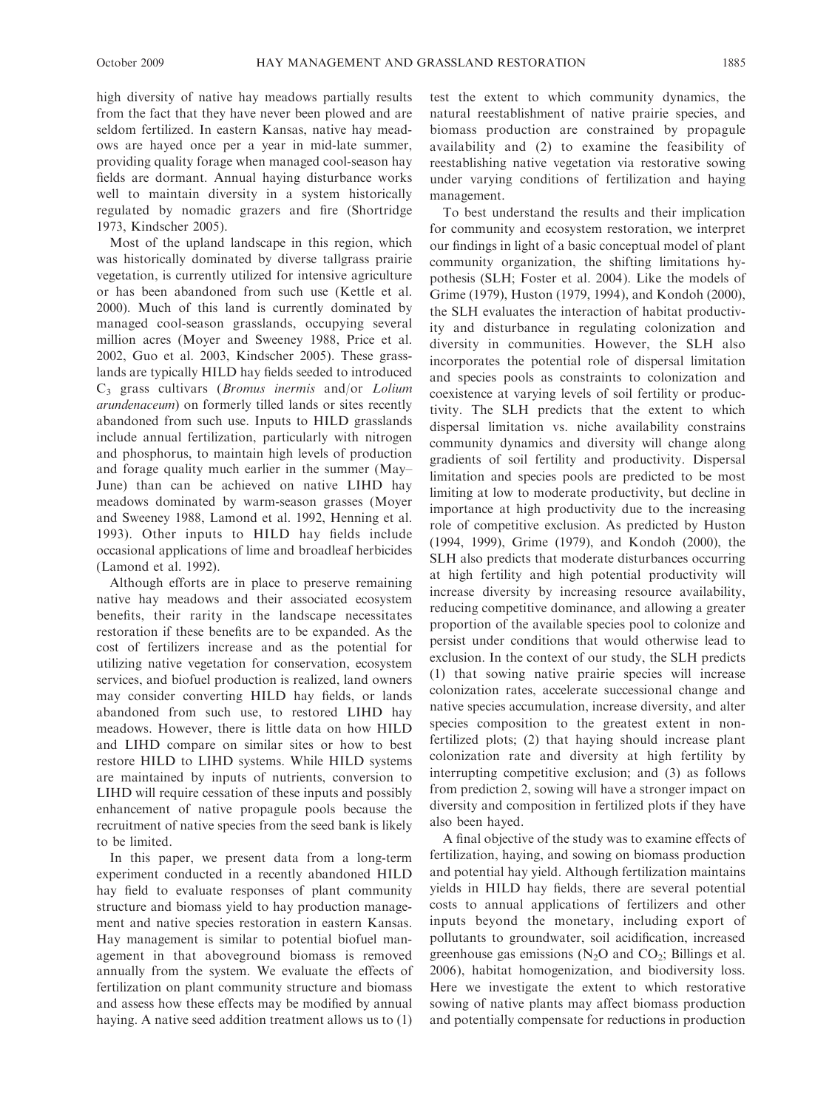high diversity of native hay meadows partially results from the fact that they have never been plowed and are seldom fertilized. In eastern Kansas, native hay meadows are hayed once per a year in mid-late summer, providing quality forage when managed cool-season hay fields are dormant. Annual haying disturbance works well to maintain diversity in a system historically regulated by nomadic grazers and fire (Shortridge 1973, Kindscher 2005).

Most of the upland landscape in this region, which was historically dominated by diverse tallgrass prairie vegetation, is currently utilized for intensive agriculture or has been abandoned from such use (Kettle et al. 2000). Much of this land is currently dominated by managed cool-season grasslands, occupying several million acres (Moyer and Sweeney 1988, Price et al. 2002, Guo et al. 2003, Kindscher 2005). These grasslands are typically HILD hay fields seeded to introduced  $C_3$  grass cultivars (Bromus inermis and/or Lolium arundenaceum) on formerly tilled lands or sites recently abandoned from such use. Inputs to HILD grasslands include annual fertilization, particularly with nitrogen and phosphorus, to maintain high levels of production and forage quality much earlier in the summer (May– June) than can be achieved on native LIHD hay meadows dominated by warm-season grasses (Moyer and Sweeney 1988, Lamond et al. 1992, Henning et al. 1993). Other inputs to HILD hay fields include occasional applications of lime and broadleaf herbicides (Lamond et al. 1992).

Although efforts are in place to preserve remaining native hay meadows and their associated ecosystem benefits, their rarity in the landscape necessitates restoration if these benefits are to be expanded. As the cost of fertilizers increase and as the potential for utilizing native vegetation for conservation, ecosystem services, and biofuel production is realized, land owners may consider converting HILD hay fields, or lands abandoned from such use, to restored LIHD hay meadows. However, there is little data on how HILD and LIHD compare on similar sites or how to best restore HILD to LIHD systems. While HILD systems are maintained by inputs of nutrients, conversion to LIHD will require cessation of these inputs and possibly enhancement of native propagule pools because the recruitment of native species from the seed bank is likely to be limited.

In this paper, we present data from a long-term experiment conducted in a recently abandoned HILD hay field to evaluate responses of plant community structure and biomass yield to hay production management and native species restoration in eastern Kansas. Hay management is similar to potential biofuel management in that aboveground biomass is removed annually from the system. We evaluate the effects of fertilization on plant community structure and biomass and assess how these effects may be modified by annual haying. A native seed addition treatment allows us to (1) test the extent to which community dynamics, the natural reestablishment of native prairie species, and biomass production are constrained by propagule availability and (2) to examine the feasibility of reestablishing native vegetation via restorative sowing under varying conditions of fertilization and haying management.

To best understand the results and their implication for community and ecosystem restoration, we interpret our findings in light of a basic conceptual model of plant community organization, the shifting limitations hypothesis (SLH; Foster et al. 2004). Like the models of Grime (1979), Huston (1979, 1994), and Kondoh (2000), the SLH evaluates the interaction of habitat productivity and disturbance in regulating colonization and diversity in communities. However, the SLH also incorporates the potential role of dispersal limitation and species pools as constraints to colonization and coexistence at varying levels of soil fertility or productivity. The SLH predicts that the extent to which dispersal limitation vs. niche availability constrains community dynamics and diversity will change along gradients of soil fertility and productivity. Dispersal limitation and species pools are predicted to be most limiting at low to moderate productivity, but decline in importance at high productivity due to the increasing role of competitive exclusion. As predicted by Huston (1994, 1999), Grime (1979), and Kondoh (2000), the SLH also predicts that moderate disturbances occurring at high fertility and high potential productivity will increase diversity by increasing resource availability, reducing competitive dominance, and allowing a greater proportion of the available species pool to colonize and persist under conditions that would otherwise lead to exclusion. In the context of our study, the SLH predicts (1) that sowing native prairie species will increase colonization rates, accelerate successional change and native species accumulation, increase diversity, and alter species composition to the greatest extent in nonfertilized plots; (2) that haying should increase plant colonization rate and diversity at high fertility by interrupting competitive exclusion; and (3) as follows from prediction 2, sowing will have a stronger impact on diversity and composition in fertilized plots if they have also been hayed.

A final objective of the study was to examine effects of fertilization, haying, and sowing on biomass production and potential hay yield. Although fertilization maintains yields in HILD hay fields, there are several potential costs to annual applications of fertilizers and other inputs beyond the monetary, including export of pollutants to groundwater, soil acidification, increased greenhouse gas emissions  $(N_2O)$  and  $CO_2$ ; Billings et al. 2006), habitat homogenization, and biodiversity loss. Here we investigate the extent to which restorative sowing of native plants may affect biomass production and potentially compensate for reductions in production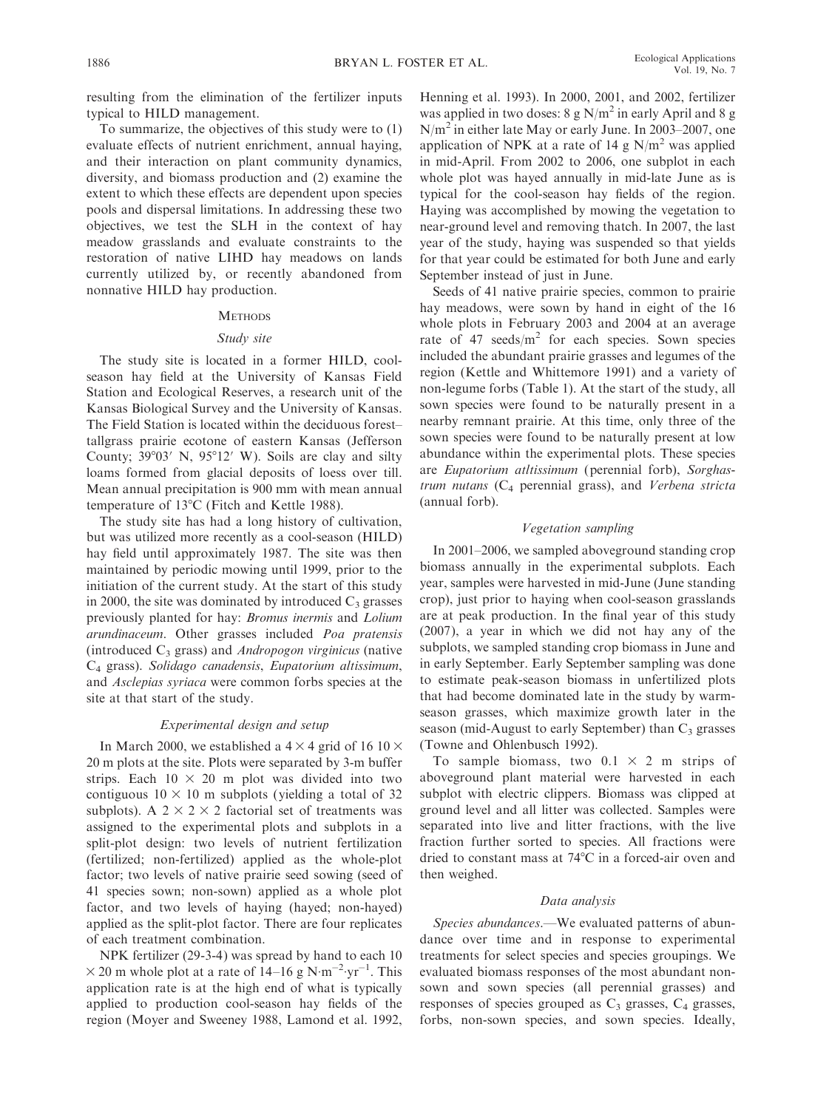resulting from the elimination of the fertilizer inputs typical to HILD management.

To summarize, the objectives of this study were to (1) evaluate effects of nutrient enrichment, annual haying, and their interaction on plant community dynamics, diversity, and biomass production and (2) examine the extent to which these effects are dependent upon species pools and dispersal limitations. In addressing these two objectives, we test the SLH in the context of hay meadow grasslands and evaluate constraints to the restoration of native LIHD hay meadows on lands currently utilized by, or recently abandoned from nonnative HILD hay production.

#### **METHODS**

#### Study site

The study site is located in a former HILD, coolseason hay field at the University of Kansas Field Station and Ecological Reserves, a research unit of the Kansas Biological Survey and the University of Kansas. The Field Station is located within the deciduous forest– tallgrass prairie ecotone of eastern Kansas (Jefferson County;  $39^{\circ}03'$  N,  $95^{\circ}12'$  W). Soils are clay and silty loams formed from glacial deposits of loess over till. Mean annual precipitation is 900 mm with mean annual temperature of 13°C (Fitch and Kettle 1988).

The study site has had a long history of cultivation, but was utilized more recently as a cool-season (HILD) hay field until approximately 1987. The site was then maintained by periodic mowing until 1999, prior to the initiation of the current study. At the start of this study in 2000, the site was dominated by introduced  $C_3$  grasses previously planted for hay: Bromus inermis and Lolium arundinaceum. Other grasses included Poa pratensis (introduced  $C_3$  grass) and *Andropogon virginicus* (native C4 grass). Solidago canadensis, Eupatorium altissimum, and Asclepias syriaca were common forbs species at the site at that start of the study.

# Experimental design and setup

In March 2000, we established a  $4 \times 4$  grid of 16 10  $\times$ 20 m plots at the site. Plots were separated by 3-m buffer strips. Each  $10 \times 20$  m plot was divided into two contiguous  $10 \times 10$  m subplots (yielding a total of 32 subplots). A  $2 \times 2 \times 2$  factorial set of treatments was assigned to the experimental plots and subplots in a split-plot design: two levels of nutrient fertilization (fertilized; non-fertilized) applied as the whole-plot factor; two levels of native prairie seed sowing (seed of 41 species sown; non-sown) applied as a whole plot factor, and two levels of haying (hayed; non-hayed) applied as the split-plot factor. There are four replicates of each treatment combination.

NPK fertilizer (29-3-4) was spread by hand to each 10  $\times$  20 m whole plot at a rate of 14–16 g N·m<sup>-2</sup>·yr<sup>-1</sup>. This application rate is at the high end of what is typically applied to production cool-season hay fields of the region (Moyer and Sweeney 1988, Lamond et al. 1992, Henning et al. 1993). In 2000, 2001, and 2002, fertilizer was applied in two doses:  $8 \text{ g N/m}^2$  in early April and  $8 \text{ g}$  $N/m<sup>2</sup>$  in either late May or early June. In 2003–2007, one application of NPK at a rate of 14 g  $N/m<sup>2</sup>$  was applied in mid-April. From 2002 to 2006, one subplot in each whole plot was hayed annually in mid-late June as is typical for the cool-season hay fields of the region. Haying was accomplished by mowing the vegetation to near-ground level and removing thatch. In 2007, the last year of the study, haying was suspended so that yields for that year could be estimated for both June and early September instead of just in June.

Seeds of 41 native prairie species, common to prairie hay meadows, were sown by hand in eight of the 16 whole plots in February 2003 and 2004 at an average rate of 47 seeds/ $m<sup>2</sup>$  for each species. Sown species included the abundant prairie grasses and legumes of the region (Kettle and Whittemore 1991) and a variety of non-legume forbs (Table 1). At the start of the study, all sown species were found to be naturally present in a nearby remnant prairie. At this time, only three of the sown species were found to be naturally present at low abundance within the experimental plots. These species are Eupatorium atltissimum (perennial forb), Sorghastrum nutans  $(C_4$  perennial grass), and Verbena stricta (annual forb).

## Vegetation sampling

In 2001–2006, we sampled aboveground standing crop biomass annually in the experimental subplots. Each year, samples were harvested in mid-June (June standing crop), just prior to haying when cool-season grasslands are at peak production. In the final year of this study (2007), a year in which we did not hay any of the subplots, we sampled standing crop biomass in June and in early September. Early September sampling was done to estimate peak-season biomass in unfertilized plots that had become dominated late in the study by warmseason grasses, which maximize growth later in the season (mid-August to early September) than  $C_3$  grasses (Towne and Ohlenbusch 1992).

To sample biomass, two  $0.1 \times 2$  m strips of aboveground plant material were harvested in each subplot with electric clippers. Biomass was clipped at ground level and all litter was collected. Samples were separated into live and litter fractions, with the live fraction further sorted to species. All fractions were dried to constant mass at 74°C in a forced-air oven and then weighed.

# Data analysis

Species abundances.—We evaluated patterns of abundance over time and in response to experimental treatments for select species and species groupings. We evaluated biomass responses of the most abundant nonsown and sown species (all perennial grasses) and responses of species grouped as  $C_3$  grasses,  $C_4$  grasses, forbs, non-sown species, and sown species. Ideally,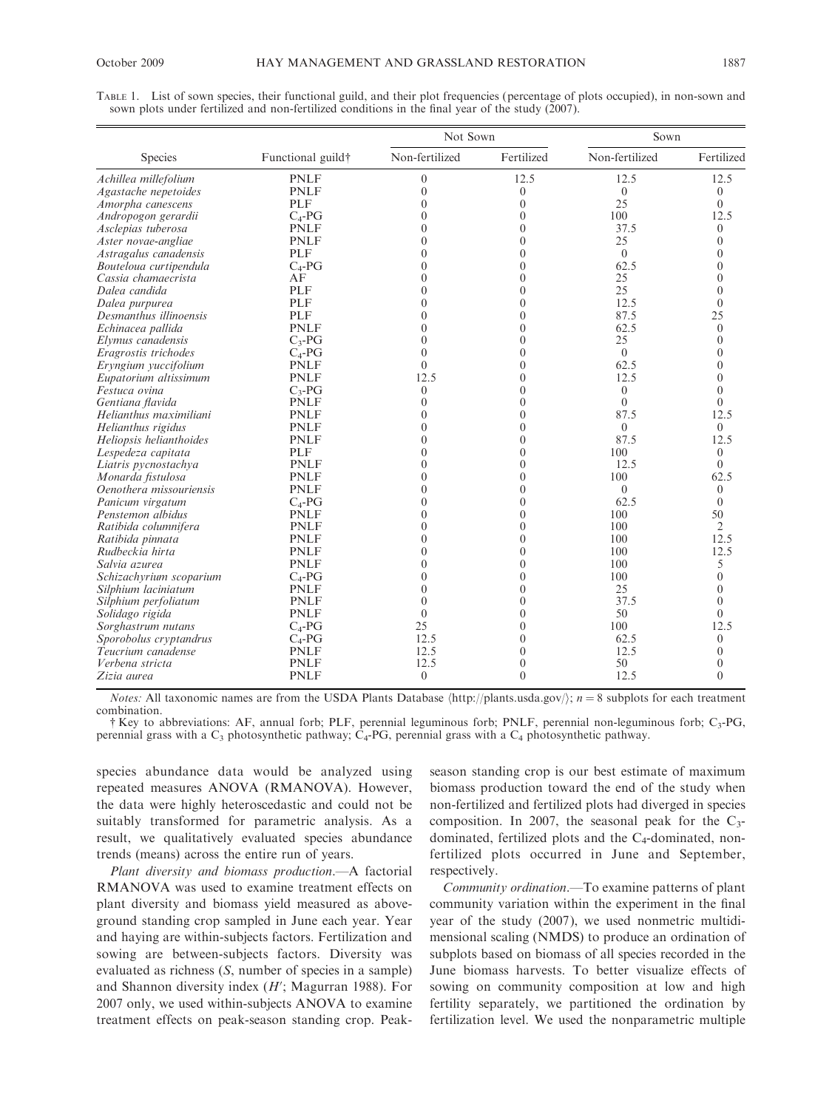| TABLE 1. List of sown species, their functional guild, and their plot frequencies (percentage of plots occupied), in non-sown and |  |  |  |  |  |  |
|-----------------------------------------------------------------------------------------------------------------------------------|--|--|--|--|--|--|
| sown plots under fertilized and non-fertilized conditions in the final year of the study (2007).                                  |  |  |  |  |  |  |

|                         |                   | Not Sown       |                  | Sown           |                |  |
|-------------------------|-------------------|----------------|------------------|----------------|----------------|--|
| Species                 | Functional guild† | Non-fertilized | Fertilized       | Non-fertilized | Fertilized     |  |
| Achillea millefolium    | <b>PNLF</b>       | $\mathbf{0}$   | 12.5             | 12.5           | 12.5           |  |
| Agastache nepetoides    | <b>PNLF</b>       | $\mathbf{0}$   | $\boldsymbol{0}$ | $\overline{0}$ | $\theta$       |  |
| Amorpha canescens       | PLF               | $\theta$       | $\theta$         | 25             | $\theta$       |  |
| Andropogon gerardii     | $C_4$ -PG         | $\Omega$       | $\Omega$         | 100            | 12.5           |  |
| Asclepias tuberosa      | <b>PNLF</b>       | $\theta$       | $\theta$         | 37.5           | $\Omega$       |  |
| Aster novae-angliae     | <b>PNLF</b>       | $\theta$       | $\overline{0}$   | 25             | $\overline{0}$ |  |
| Astragalus canadensis   | PLF               | $\Omega$       | $\theta$         | $\theta$       | $\Omega$       |  |
| Bouteloua curtipendula  | $C_4$ -PG         | $\theta$       | $\overline{0}$   | 62.5           | $\theta$       |  |
| Cassia chamaecrista     | AF                | $\theta$       | $\theta$         | 25             | $\theta$       |  |
| Dalea candida           | PLF               | $\Omega$       | $\theta$         | 25             | $\theta$       |  |
| Dalea purpurea          | PLF               | $\theta$       | $\overline{0}$   | 12.5           | $\theta$       |  |
| Desmanthus illinoensis  | PLF               | $\theta$       | $\overline{0}$   | 87.5           | 25             |  |
| Echinacea pallida       | <b>PNLF</b>       | $\Omega$       | $\theta$         | 62.5           | $\Omega$       |  |
| Elymus canadensis       | $C_3$ -PG         | $\theta$       | $\theta$         | 25             | $\theta$       |  |
| Eragrostis trichodes    | $C_4$ -PG         | $\Omega$       | $\theta$         | $\theta$       | $\Omega$       |  |
| Eryngium yuccifolium    | <b>PNLF</b>       | $\Omega$       | $\theta$         | 62.5           | $\theta$       |  |
| Eupatorium altissimum   | <b>PNLF</b>       | 12.5           | $\theta$         | 12.5           | $\theta$       |  |
| Festuca ovina           | $C_{3}$ -PG       | $\theta$       | $\overline{0}$   | $\overline{0}$ | $\theta$       |  |
| Gentiana flavida        | <b>PNLF</b>       | $\theta$       | $\mathbf{0}$     | $\theta$       | $\Omega$       |  |
| Helianthus maximiliani  | <b>PNLF</b>       | $\Omega$       | $\mathbf{0}$     | 87.5           | 12.5           |  |
| Helianthus rigidus      | <b>PNLF</b>       | $\Omega$       | $\theta$         | $\theta$       | $\theta$       |  |
| Heliopsis helianthoides | <b>PNLF</b>       | $\Omega$       | $\theta$         | 87.5           | 12.5           |  |
| Lespedeza capitata      | PLF               | $\theta$       | $\theta$         | 100            | $\theta$       |  |
| Liatris pycnostachya    | <b>PNLF</b>       | $\Omega$       | $\theta$         | 12.5           | $\theta$       |  |
| Monarda fistulosa       | <b>PNLF</b>       | $\theta$       | $\overline{0}$   | 100            | 62.5           |  |
| Oenothera missouriensis | <b>PNLF</b>       | $\theta$       | $\mathbf{0}$     | $\Omega$       | $\theta$       |  |
| Panicum virgatum        | $C_4$ -PG         | $\Omega$       | $\theta$         | 62.5           | $\theta$       |  |
| Penstemon albidus       | <b>PNLF</b>       | $\theta$       | $\theta$         | 100            | 50             |  |
| Ratibida columnifera    | <b>PNLF</b>       | $\theta$       | $\theta$         | 100            | $\overline{2}$ |  |
| Ratibida pinnata        | <b>PNLF</b>       | $\Omega$       | $\theta$         | 100            | 12.5           |  |
| Rudbeckia hirta         | <b>PNLF</b>       | $\theta$       | $\overline{0}$   | 100            | 12.5           |  |
| Salvia azurea           | <b>PNLF</b>       | $\theta$       | $\theta$         | 100            | 5              |  |
| Schizachyrium scoparium | $C_4$ -PG         | $\Omega$       | $\theta$         | 100            | $\Omega$       |  |
| Silphium laciniatum     | <b>PNLF</b>       | $\theta$       | $\theta$         | 25             | $\theta$       |  |
| Silphium perfoliatum    | <b>PNLF</b>       | $\theta$       | $\theta$         | 37.5           | $\theta$       |  |
| Solidago rigida         | <b>PNLF</b>       | $\theta$       | $\theta$         | 50             | $\Omega$       |  |
| Sorghastrum nutans      | $C_4$ -PG         | 25             | $\mathbf{0}$     | 100            | 12.5           |  |
| Sporobolus cryptandrus  | $C_4$ -PG         | 12.5           | $\theta$         | 62.5           | $\Omega$       |  |
| Teucrium canadense      | <b>PNLF</b>       | 12.5           | $\theta$         | 12.5           | $\Omega$       |  |
| Verbena stricta         | <b>PNLF</b>       | 12.5           | $\theta$         | 50             | $\theta$       |  |
| Zizia aurea             | <b>PNLF</b>       | $\theta$       | $\theta$         | 12.5           | $\overline{0}$ |  |

*Notes:* All taxonomic names are from the USDA Plants Database  $\frac{\hat{h}t}{\hat{h}t}$  hants.usda.gov/;  $n = 8$  subplots for each treatment combination.

- Key to abbreviations: AF, annual forb; PLF, perennial leguminous forb; PNLF, perennial non-leguminous forb; C3-PG, perennial grass with a  $C_3$  photosynthetic pathway;  $C_4$ -PG, perennial grass with a  $C_4$  photosynthetic pathway.

species abundance data would be analyzed using repeated measures ANOVA (RMANOVA). However, the data were highly heteroscedastic and could not be suitably transformed for parametric analysis. As a result, we qualitatively evaluated species abundance trends (means) across the entire run of years.

Plant diversity and biomass production.—A factorial RMANOVA was used to examine treatment effects on plant diversity and biomass yield measured as aboveground standing crop sampled in June each year. Year and haying are within-subjects factors. Fertilization and sowing are between-subjects factors. Diversity was evaluated as richness (S, number of species in a sample) and Shannon diversity index  $(H'$ ; Magurran 1988). For 2007 only, we used within-subjects ANOVA to examine treatment effects on peak-season standing crop. Peakseason standing crop is our best estimate of maximum biomass production toward the end of the study when non-fertilized and fertilized plots had diverged in species composition. In 2007, the seasonal peak for the  $C_3$ dominated, fertilized plots and the  $C_4$ -dominated, nonfertilized plots occurred in June and September, respectively.

Community ordination.—To examine patterns of plant community variation within the experiment in the final year of the study (2007), we used nonmetric multidimensional scaling (NMDS) to produce an ordination of subplots based on biomass of all species recorded in the June biomass harvests. To better visualize effects of sowing on community composition at low and high fertility separately, we partitioned the ordination by fertilization level. We used the nonparametric multiple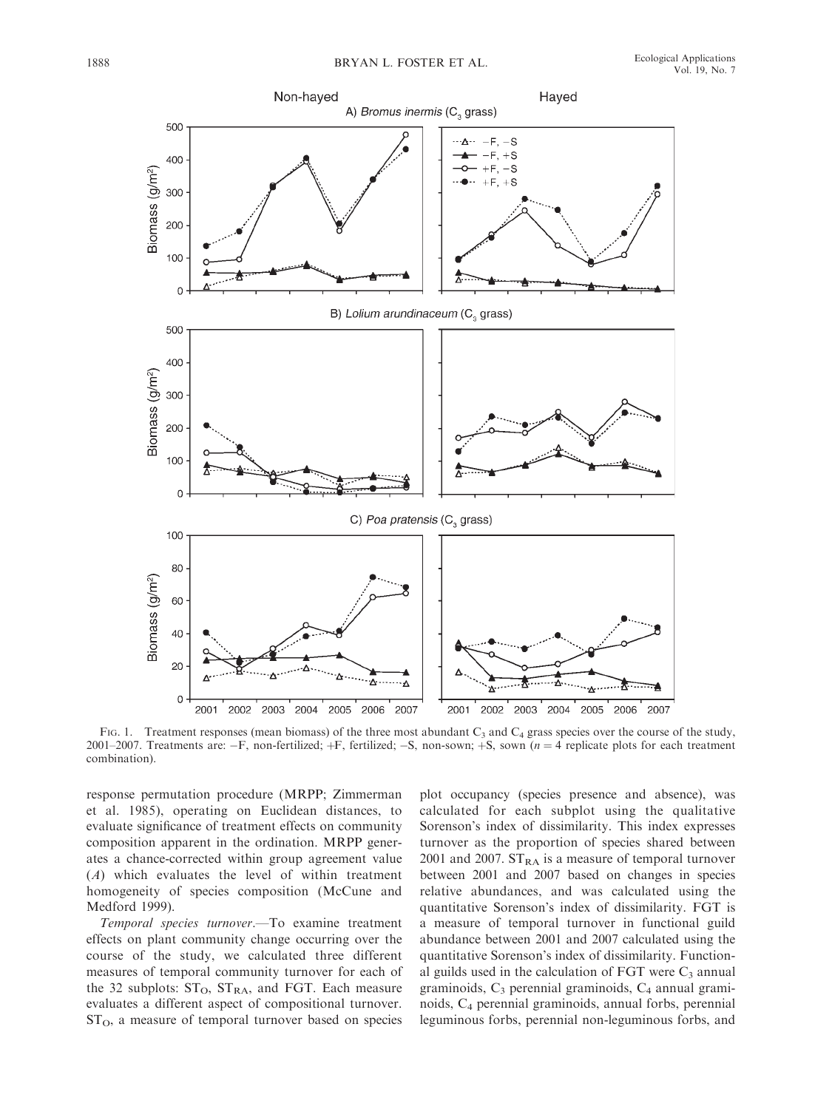

FIG. 1. Treatment responses (mean biomass) of the three most abundant  $C_3$  and  $C_4$  grass species over the course of the study, 2001–2007. Treatments are:  $-F$ , non-fertilized;  $+F$ , fertilized;  $-S$ , non-sown;  $+S$ , sown ( $n = 4$  replicate plots for each treatment combination).

response permutation procedure (MRPP; Zimmerman et al. 1985), operating on Euclidean distances, to evaluate significance of treatment effects on community composition apparent in the ordination. MRPP generates a chance-corrected within group agreement value (A) which evaluates the level of within treatment homogeneity of species composition (McCune and Medford 1999).

Temporal species turnover.—To examine treatment effects on plant community change occurring over the course of the study, we calculated three different measures of temporal community turnover for each of the 32 subplots:  $ST_O$ ,  $ST_{RA}$ , and FGT. Each measure evaluates a different aspect of compositional turnover.  $ST<sub>O</sub>$ , a measure of temporal turnover based on species plot occupancy (species presence and absence), was calculated for each subplot using the qualitative Sorenson's index of dissimilarity. This index expresses turnover as the proportion of species shared between 2001 and 2007.  $ST_{RA}$  is a measure of temporal turnover between 2001 and 2007 based on changes in species relative abundances, and was calculated using the quantitative Sorenson's index of dissimilarity. FGT is a measure of temporal turnover in functional guild abundance between 2001 and 2007 calculated using the quantitative Sorenson's index of dissimilarity. Functional guilds used in the calculation of FGT were  $C_3$  annual graminoids,  $C_3$  perennial graminoids,  $C_4$  annual graminoids, C4 perennial graminoids, annual forbs, perennial leguminous forbs, perennial non-leguminous forbs, and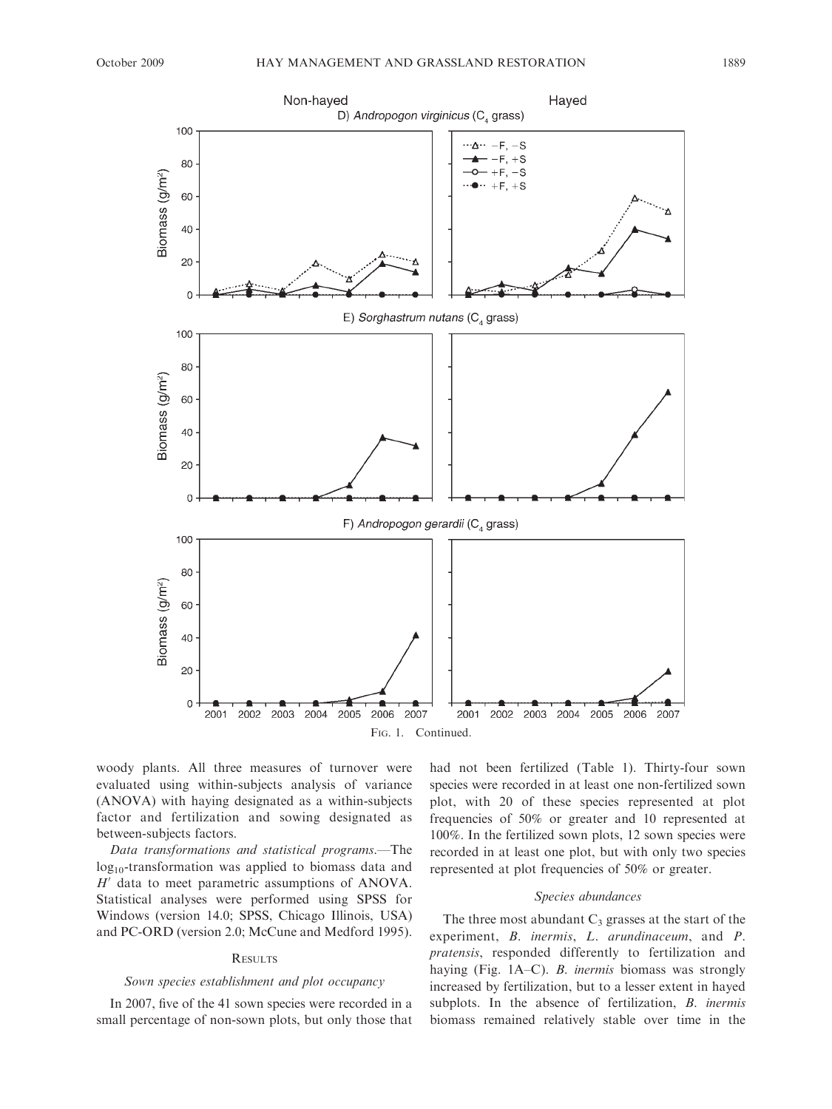

FIG. 1. Continued.

2007

woody plants. All three measures of turnover were evaluated using within-subjects analysis of variance (ANOVA) with haying designated as a within-subjects factor and fertilization and sowing designated as between-subjects factors.

2002

2003

2004

2005

2006

 $\Omega$ 

2001

Data transformations and statistical programs.—The log<sub>10</sub>-transformation was applied to biomass data and  $H'$  data to meet parametric assumptions of ANOVA. Statistical analyses were performed using SPSS for Windows (version 14.0; SPSS, Chicago Illinois, USA) and PC-ORD (version 2.0; McCune and Medford 1995).

# **RESULTS**

#### Sown species establishment and plot occupancy

In 2007, five of the 41 sown species were recorded in a small percentage of non-sown plots, but only those that had not been fertilized (Table 1). Thirty-four sown species were recorded in at least one non-fertilized sown plot, with 20 of these species represented at plot frequencies of 50% or greater and 10 represented at 100%. In the fertilized sown plots, 12 sown species were recorded in at least one plot, but with only two species represented at plot frequencies of 50% or greater.

2005

2006

2007

2001 2002 2003 2004

## Species abundances

The three most abundant  $C_3$  grasses at the start of the experiment, B. inermis, L. arundinaceum, and P. pratensis, responded differently to fertilization and haying (Fig. 1A–C). *B. inermis* biomass was strongly increased by fertilization, but to a lesser extent in hayed subplots. In the absence of fertilization, B. inermis biomass remained relatively stable over time in the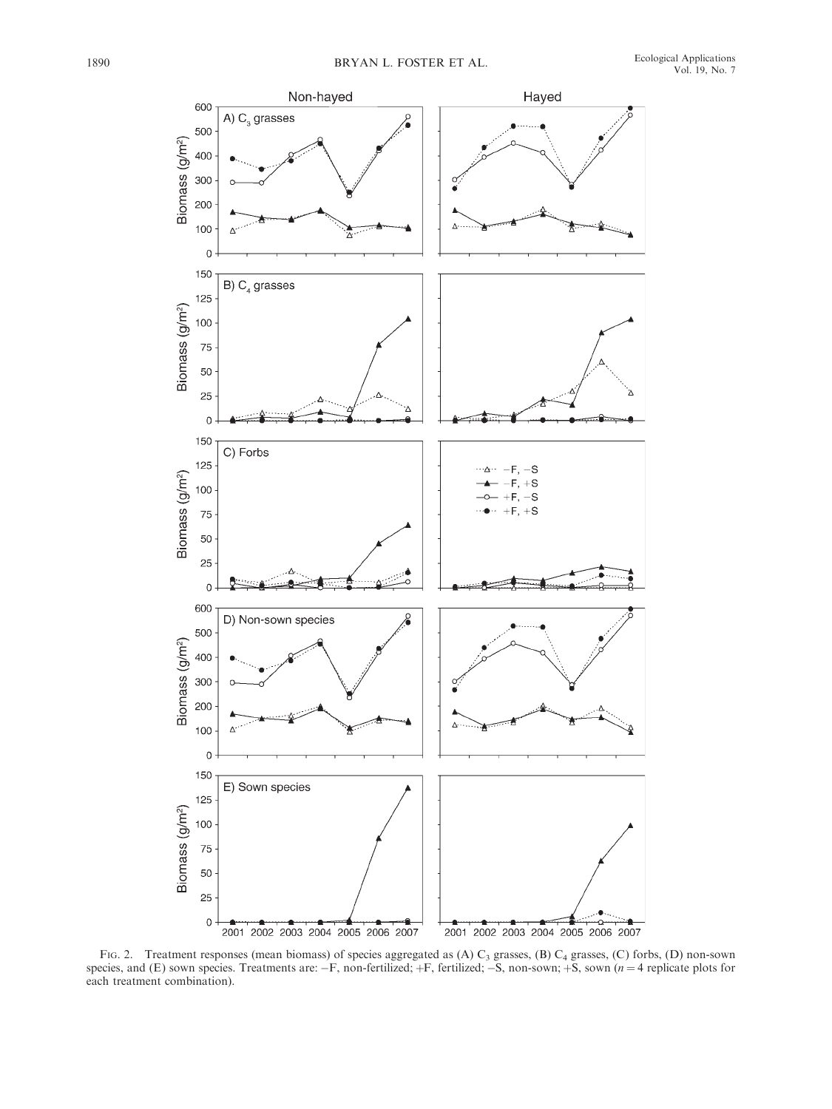

FIG. 2. Treatment responses (mean biomass) of species aggregated as  $(A)$  C<sub>3</sub> grasses,  $(B)$  C<sub>4</sub> grasses,  $(C)$  forbs,  $(D)$  non-sown species, and (E) sown species. Treatments are:  $-F$ , non-fertilized;  $+F$ , fertilized;  $-S$ , non-sown;  $+S$ , sown ( $n=4$  replicate plots for each treatment combination).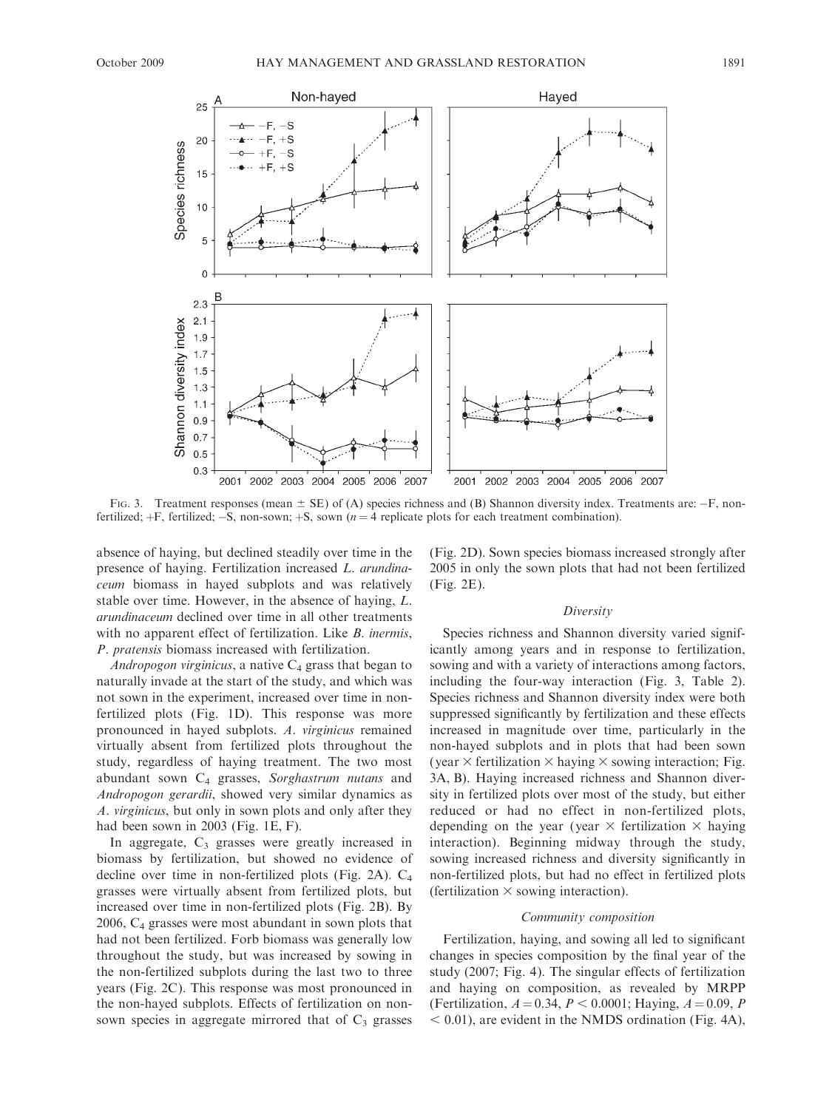

FIG. 3. Treatment responses (mean  $\pm$  SE) of (A) species richness and (B) Shannon diversity index. Treatments are:  $-F$ , nonfertilized; +F, fertilized; -S, non-sown; +S, sown ( $n = 4$  replicate plots for each treatment combination).

absence of haying, but declined steadily over time in the presence of haying. Fertilization increased L. arundinaceum biomass in hayed subplots and was relatively stable over time. However, in the absence of haying, L. arundinaceum declined over time in all other treatments with no apparent effect of fertilization. Like *B. inermis*, P. pratensis biomass increased with fertilization.

Andropogon virginicus, a native  $C_4$  grass that began to naturally invade at the start of the study, and which was not sown in the experiment, increased over time in nonfertilized plots (Fig. 1D). This response was more pronounced in hayed subplots. A. virginicus remained virtually absent from fertilized plots throughout the study, regardless of haying treatment. The two most abundant sown C<sub>4</sub> grasses, Sorghastrum nutans and Andropogon gerardii, showed very similar dynamics as A. virginicus, but only in sown plots and only after they had been sown in 2003 (Fig. 1E, F).

In aggregate,  $C_3$  grasses were greatly increased in biomass by fertilization, but showed no evidence of decline over time in non-fertilized plots (Fig. 2A).  $C_4$ grasses were virtually absent from fertilized plots, but increased over time in non-fertilized plots (Fig. 2B). By  $2006$ ,  $C_4$  grasses were most abundant in sown plots that had not been fertilized. Forb biomass was generally low throughout the study, but was increased by sowing in the non-fertilized subplots during the last two to three years (Fig. 2C). This response was most pronounced in the non-hayed subplots. Effects of fertilization on nonsown species in aggregate mirrored that of  $C_3$  grasses (Fig. 2D). Sown species biomass increased strongly after 2005 in only the sown plots that had not been fertilized (Fig. 2E).

## Diversity

Species richness and Shannon diversity varied significantly among years and in response to fertilization, sowing and with a variety of interactions among factors, including the four-way interaction (Fig. 3, Table 2). Species richness and Shannon diversity index were both suppressed significantly by fertilization and these effects increased in magnitude over time, particularly in the non-hayed subplots and in plots that had been sown (year  $\times$  fertilization  $\times$  haying  $\times$  sowing interaction; Fig. 3A, B). Haying increased richness and Shannon diversity in fertilized plots over most of the study, but either reduced or had no effect in non-fertilized plots, depending on the year (year  $\times$  fertilization  $\times$  haying interaction). Beginning midway through the study, sowing increased richness and diversity significantly in non-fertilized plots, but had no effect in fertilized plots (fertilization  $\times$  sowing interaction).

## Community composition

Fertilization, haying, and sowing all led to significant changes in species composition by the final year of the study (2007; Fig. 4). The singular effects of fertilization and haying on composition, as revealed by MRPP (Fertilization,  $A = 0.34$ ,  $P < 0.0001$ ; Haying,  $A = 0.09$ , P  $<$  0.01), are evident in the NMDS ordination (Fig. 4A),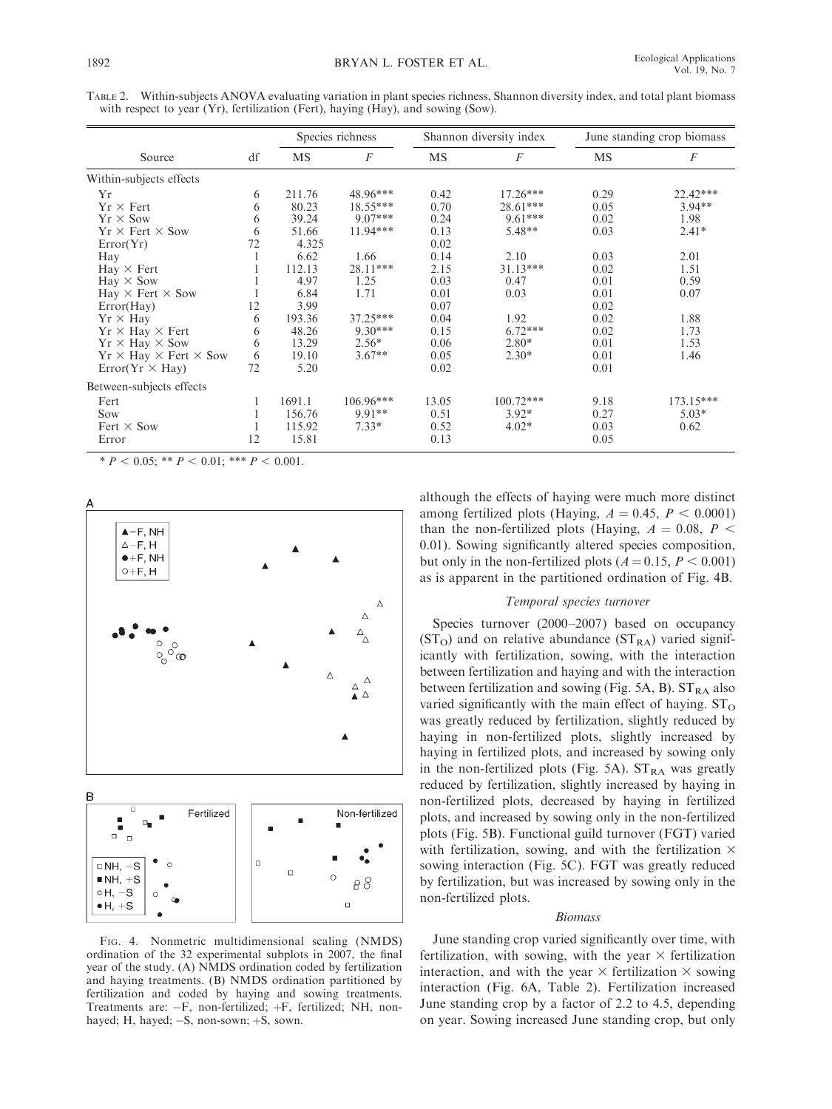TABLE 2. Within-subjects ANOVA evaluating variation in plant species richness, Shannon diversity index, and total plant biomass with respect to year (Yr), fertilization (Fert), haying (Hay), and sowing (Sow).

|                                                   |    | Species richness |                |           | Shannon diversity index | June standing crop biomass |             |  |
|---------------------------------------------------|----|------------------|----------------|-----------|-------------------------|----------------------------|-------------|--|
| Source                                            | df | MS               | $\overline{F}$ | <b>MS</b> | F                       | MS                         | F           |  |
| Within-subjects effects                           |    |                  |                |           |                         |                            |             |  |
| Yr                                                | 6  | 211.76           | 48.96***       | 0.42      | $17.26***$              | 0.29                       | $22.42***$  |  |
| $Yr \times Fert$                                  | 6  | 80.23            | 18.55***       | 0.70      | 28.61***                | 0.05                       | $3.94**$    |  |
| $Yr \times$ Sow                                   | 6  | 39.24            | $9.07***$      | 0.24      | $9.61***$               | 0.02                       | 1.98        |  |
| $Yr \times$ Fert $\times$ Sow                     | 6  | 51.66            | $11.94***$     | 0.13      | 5.48**                  | 0.03                       | $2.41*$     |  |
| Error(Yr)                                         | 72 | 4.325            |                | 0.02      |                         |                            |             |  |
| Hay                                               |    | 6.62             | 1.66           | 0.14      | 2.10                    | 0.03                       | 2.01        |  |
| $\text{Hay} \times \text{Fert}$                   |    | 112.13           | $28.11***$     | 2.15      | 31.13***                | 0.02                       | 1.51        |  |
| $\text{Hav} \times \text{Sow}$                    |    | 4.97             | 1.25           | 0.03      | 0.47                    | 0.01                       | 0.59        |  |
| $\text{Hay} \times \text{Fert} \times \text{Sow}$ |    | 6.84             | 1.71           | 0.01      | 0.03                    | 0.01                       | 0.07        |  |
| Error(Hay)                                        | 12 | 3.99             |                | 0.07      |                         | 0.02                       |             |  |
| $Yr \times Hav$                                   | 6  | 193.36           | $37.25***$     | 0.04      | 1.92                    | 0.02                       | 1.88        |  |
| $Yr \times Hay \times Fert$                       | 6  | 48.26            | $9.30***$      | 0.15      | $6.72***$               | 0.02                       | 1.73        |  |
| $Yr \times Hay \times Sow$                        | 6  | 13.29            | $2.56*$        | 0.06      | $2.80*$                 | 0.01                       | 1.53        |  |
| $Yr \times Hay \times Fert \times Sow$            | 6  | 19.10            | $3.67**$       | 0.05      | $2.30*$                 | 0.01                       | 1.46        |  |
| $Error(Yr \times Hay)$                            | 72 | 5.20             |                | 0.02      |                         | 0.01                       |             |  |
| Between-subjects effects                          |    |                  |                |           |                         |                            |             |  |
| Fert                                              |    | 1691.1           | $106.96***$    | 13.05     | $100.72***$             | 9.18                       | $173.15***$ |  |
| Sow                                               |    | 156.76           | 9.91**         | 0.51      | $3.92*$                 | 0.27                       | $5.03*$     |  |
| Fert $\times$ Sow                                 |    | 115.92           | $7.33*$        | 0.52      | $4.02*$                 | 0.03                       | 0.62        |  |
| Error                                             | 12 | 15.81            |                | 0.13      |                         | 0.05                       |             |  |

\*  $P < 0.05$ ; \*\*  $P < 0.01$ ; \*\*\*  $P < 0.001$ .



FIG. 4. Nonmetric multidimensional scaling (NMDS) ordination of the 32 experimental subplots in 2007, the final year of the study. (A) NMDS ordination coded by fertilization and haying treatments. (B) NMDS ordination partitioned by fertilization and coded by haying and sowing treatments. Treatments are:  $-F$ , non-fertilized;  $+F$ , fertilized; NH, nonhayed; H, hayed;  $-S$ , non-sown;  $+S$ , sown.

although the effects of haying were much more distinct among fertilized plots (Haying,  $A = 0.45$ ,  $P < 0.0001$ ) than the non-fertilized plots (Haying,  $A = 0.08$ ,  $P <$ 0.01). Sowing significantly altered species composition, but only in the non-fertilized plots  $(A = 0.15, P < 0.001)$ as is apparent in the partitioned ordination of Fig. 4B.

# Temporal species turnover

Species turnover (2000–2007) based on occupancy  $(ST<sub>O</sub>)$  and on relative abundance  $(ST<sub>RA</sub>)$  varied significantly with fertilization, sowing, with the interaction between fertilization and haying and with the interaction between fertilization and sowing (Fig. 5A, B).  $ST_{RA}$  also varied significantly with the main effect of haying.  $ST<sub>O</sub>$ was greatly reduced by fertilization, slightly reduced by haying in non-fertilized plots, slightly increased by haying in fertilized plots, and increased by sowing only in the non-fertilized plots (Fig. 5A).  $ST_{RA}$  was greatly reduced by fertilization, slightly increased by haying in non-fertilized plots, decreased by haying in fertilized plots, and increased by sowing only in the non-fertilized plots (Fig. 5B). Functional guild turnover (FGT) varied with fertilization, sowing, and with the fertilization  $\times$ sowing interaction (Fig. 5C). FGT was greatly reduced by fertilization, but was increased by sowing only in the non-fertilized plots.

#### Biomass

June standing crop varied significantly over time, with fertilization, with sowing, with the year  $\times$  fertilization interaction, and with the year  $\times$  fertilization  $\times$  sowing interaction (Fig. 6A, Table 2). Fertilization increased June standing crop by a factor of 2.2 to 4.5, depending on year. Sowing increased June standing crop, but only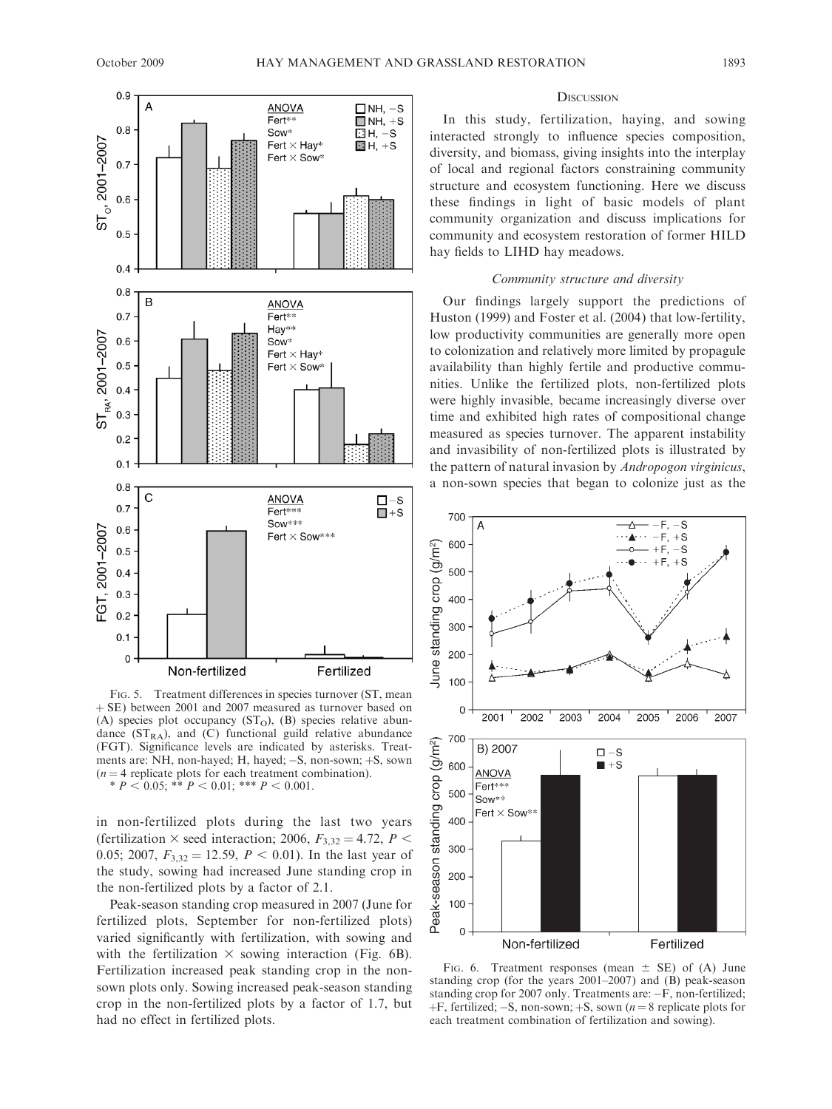

FIG. 5. Treatment differences in species turnover (ST, mean þ SE) between 2001 and 2007 measured as turnover based on (A) species plot occupancy  $(ST<sub>O</sub>)$ , (B) species relative abundance  $(ST<sub>RA</sub>)$ , and  $(C)$  functional guild relative abundance (FGT). Significance levels are indicated by asterisks. Treatments are: NH, non-hayed; H, hayed;  $-S$ , non-sown;  $+S$ , sown  $(n = 4$  replicate plots for each treatment combination). \*  $P < 0.05$ ; \*\*  $P < 0.01$ ; \*\*\*  $P < 0.001$ .

in non-fertilized plots during the last two years (fertilization  $\times$  seed interaction; 2006,  $F_{3,32} = 4.72$ ,  $P \le$ 0.05; 2007,  $F_{3,32} = 12.59$ ,  $P < 0.01$ ). In the last year of the study, sowing had increased June standing crop in the non-fertilized plots by a factor of 2.1.

Peak-season standing crop measured in 2007 (June for fertilized plots, September for non-fertilized plots) varied significantly with fertilization, with sowing and with the fertilization  $\times$  sowing interaction (Fig. 6B). Fertilization increased peak standing crop in the nonsown plots only. Sowing increased peak-season standing crop in the non-fertilized plots by a factor of 1.7, but had no effect in fertilized plots.

#### **DISCUSSION**

In this study, fertilization, haying, and sowing interacted strongly to influence species composition, diversity, and biomass, giving insights into the interplay of local and regional factors constraining community structure and ecosystem functioning. Here we discuss these findings in light of basic models of plant community organization and discuss implications for community and ecosystem restoration of former HILD hay fields to LIHD hay meadows.

# Community structure and diversity

Our findings largely support the predictions of Huston (1999) and Foster et al. (2004) that low-fertility, low productivity communities are generally more open to colonization and relatively more limited by propagule availability than highly fertile and productive communities. Unlike the fertilized plots, non-fertilized plots were highly invasible, became increasingly diverse over time and exhibited high rates of compositional change measured as species turnover. The apparent instability and invasibility of non-fertilized plots is illustrated by the pattern of natural invasion by Andropogon virginicus, a non-sown species that began to colonize just as the



FIG. 6. Treatment responses (mean  $\pm$  SE) of (A) June standing crop (for the years 2001–2007) and (B) peak-season standing crop for 2007 only. Treatments are: $-F$ , non-fertilized;  $+F$ , fertilized;  $-S$ , non-sown;  $+S$ , sown (*n* = 8 replicate plots for each treatment combination of fertilization and sowing).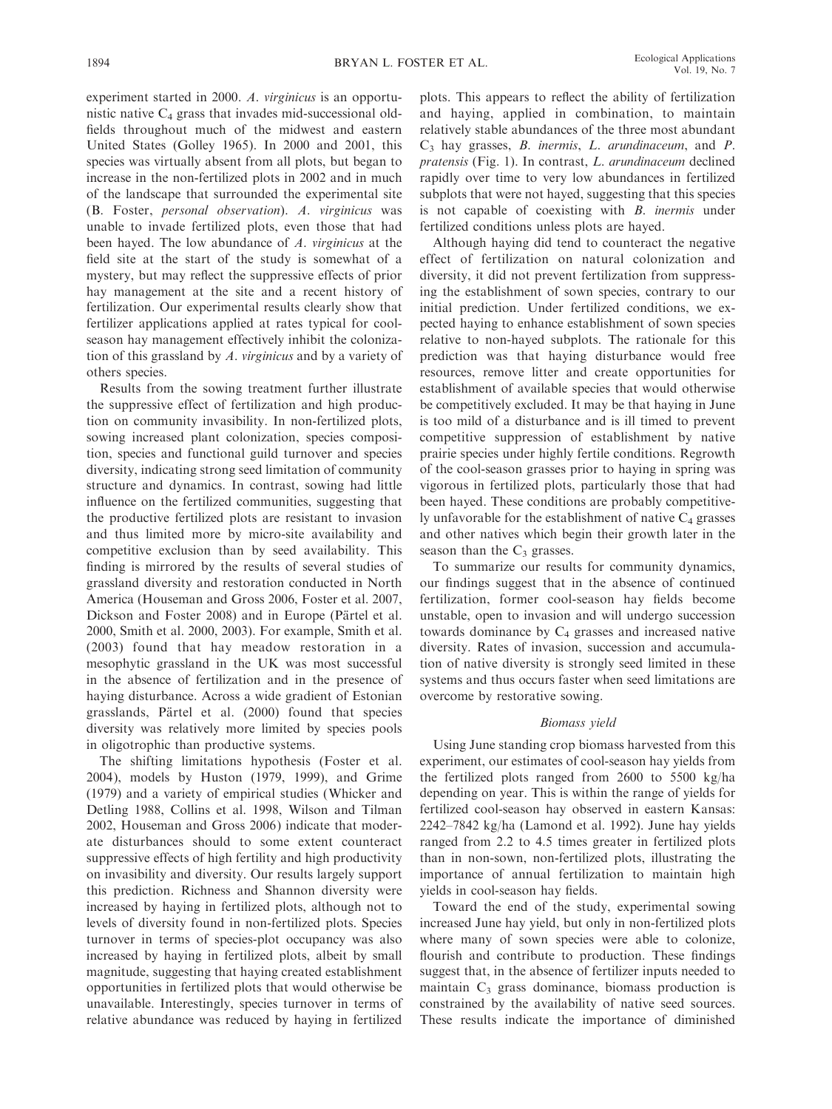experiment started in 2000. A. virginicus is an opportunistic native  $C_4$  grass that invades mid-successional oldfields throughout much of the midwest and eastern United States (Golley 1965). In 2000 and 2001, this species was virtually absent from all plots, but began to increase in the non-fertilized plots in 2002 and in much of the landscape that surrounded the experimental site (B. Foster, personal observation). A. virginicus was unable to invade fertilized plots, even those that had been hayed. The low abundance of A. virginicus at the field site at the start of the study is somewhat of a mystery, but may reflect the suppressive effects of prior hay management at the site and a recent history of fertilization. Our experimental results clearly show that fertilizer applications applied at rates typical for coolseason hay management effectively inhibit the colonization of this grassland by A. virginicus and by a variety of others species.

Results from the sowing treatment further illustrate the suppressive effect of fertilization and high production on community invasibility. In non-fertilized plots, sowing increased plant colonization, species composition, species and functional guild turnover and species diversity, indicating strong seed limitation of community structure and dynamics. In contrast, sowing had little influence on the fertilized communities, suggesting that the productive fertilized plots are resistant to invasion and thus limited more by micro-site availability and competitive exclusion than by seed availability. This finding is mirrored by the results of several studies of grassland diversity and restoration conducted in North America (Houseman and Gross 2006, Foster et al. 2007, Dickson and Foster 2008) and in Europe (Pärtel et al. 2000, Smith et al. 2000, 2003). For example, Smith et al. (2003) found that hay meadow restoration in a mesophytic grassland in the UK was most successful in the absence of fertilization and in the presence of haying disturbance. Across a wide gradient of Estonian grasslands, Pärtel et al. (2000) found that species diversity was relatively more limited by species pools in oligotrophic than productive systems.

The shifting limitations hypothesis (Foster et al. 2004), models by Huston (1979, 1999), and Grime (1979) and a variety of empirical studies (Whicker and Detling 1988, Collins et al. 1998, Wilson and Tilman 2002, Houseman and Gross 2006) indicate that moderate disturbances should to some extent counteract suppressive effects of high fertility and high productivity on invasibility and diversity. Our results largely support this prediction. Richness and Shannon diversity were increased by haying in fertilized plots, although not to levels of diversity found in non-fertilized plots. Species turnover in terms of species-plot occupancy was also increased by haying in fertilized plots, albeit by small magnitude, suggesting that haying created establishment opportunities in fertilized plots that would otherwise be unavailable. Interestingly, species turnover in terms of relative abundance was reduced by haying in fertilized

plots. This appears to reflect the ability of fertilization and haying, applied in combination, to maintain relatively stable abundances of the three most abundant  $C_3$  hay grasses, *B. inermis*, *L. arundinaceum*, and *P.* pratensis (Fig. 1). In contrast, L. arundinaceum declined rapidly over time to very low abundances in fertilized subplots that were not hayed, suggesting that this species is not capable of coexisting with B. inermis under fertilized conditions unless plots are hayed.

Although haying did tend to counteract the negative effect of fertilization on natural colonization and diversity, it did not prevent fertilization from suppressing the establishment of sown species, contrary to our initial prediction. Under fertilized conditions, we expected haying to enhance establishment of sown species relative to non-hayed subplots. The rationale for this prediction was that haying disturbance would free resources, remove litter and create opportunities for establishment of available species that would otherwise be competitively excluded. It may be that haying in June is too mild of a disturbance and is ill timed to prevent competitive suppression of establishment by native prairie species under highly fertile conditions. Regrowth of the cool-season grasses prior to haying in spring was vigorous in fertilized plots, particularly those that had been hayed. These conditions are probably competitively unfavorable for the establishment of native  $C_4$  grasses and other natives which begin their growth later in the season than the  $C_3$  grasses.

To summarize our results for community dynamics, our findings suggest that in the absence of continued fertilization, former cool-season hay fields become unstable, open to invasion and will undergo succession towards dominance by  $C_4$  grasses and increased native diversity. Rates of invasion, succession and accumulation of native diversity is strongly seed limited in these systems and thus occurs faster when seed limitations are overcome by restorative sowing.

# Biomass yield

Using June standing crop biomass harvested from this experiment, our estimates of cool-season hay yields from the fertilized plots ranged from 2600 to 5500 kg/ha depending on year. This is within the range of yields for fertilized cool-season hay observed in eastern Kansas: 2242–7842 kg/ha (Lamond et al. 1992). June hay yields ranged from 2.2 to 4.5 times greater in fertilized plots than in non-sown, non-fertilized plots, illustrating the importance of annual fertilization to maintain high yields in cool-season hay fields.

Toward the end of the study, experimental sowing increased June hay yield, but only in non-fertilized plots where many of sown species were able to colonize, flourish and contribute to production. These findings suggest that, in the absence of fertilizer inputs needed to maintain  $C_3$  grass dominance, biomass production is constrained by the availability of native seed sources. These results indicate the importance of diminished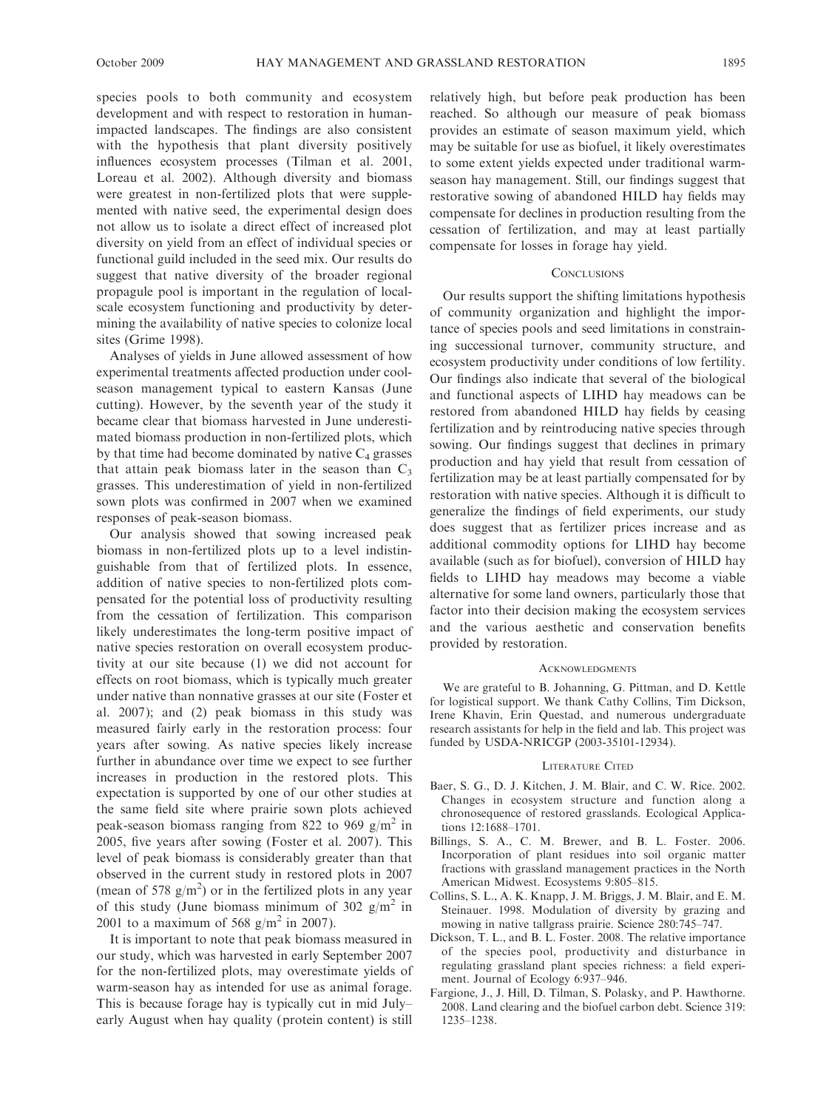species pools to both community and ecosystem development and with respect to restoration in humanimpacted landscapes. The findings are also consistent with the hypothesis that plant diversity positively influences ecosystem processes (Tilman et al. 2001, Loreau et al. 2002). Although diversity and biomass were greatest in non-fertilized plots that were supplemented with native seed, the experimental design does not allow us to isolate a direct effect of increased plot diversity on yield from an effect of individual species or functional guild included in the seed mix. Our results do suggest that native diversity of the broader regional propagule pool is important in the regulation of localscale ecosystem functioning and productivity by determining the availability of native species to colonize local sites (Grime 1998).

Analyses of yields in June allowed assessment of how experimental treatments affected production under coolseason management typical to eastern Kansas (June cutting). However, by the seventh year of the study it became clear that biomass harvested in June underestimated biomass production in non-fertilized plots, which by that time had become dominated by native  $C_4$  grasses that attain peak biomass later in the season than  $C_3$ grasses. This underestimation of yield in non-fertilized sown plots was confirmed in 2007 when we examined responses of peak-season biomass.

Our analysis showed that sowing increased peak biomass in non-fertilized plots up to a level indistinguishable from that of fertilized plots. In essence, addition of native species to non-fertilized plots compensated for the potential loss of productivity resulting from the cessation of fertilization. This comparison likely underestimates the long-term positive impact of native species restoration on overall ecosystem productivity at our site because (1) we did not account for effects on root biomass, which is typically much greater under native than nonnative grasses at our site (Foster et al. 2007); and (2) peak biomass in this study was measured fairly early in the restoration process: four years after sowing. As native species likely increase further in abundance over time we expect to see further increases in production in the restored plots. This expectation is supported by one of our other studies at the same field site where prairie sown plots achieved peak-season biomass ranging from 822 to 969 g/m<sup>2</sup> in 2005, five years after sowing (Foster et al. 2007). This level of peak biomass is considerably greater than that observed in the current study in restored plots in 2007 (mean of 578  $g/m<sup>2</sup>$ ) or in the fertilized plots in any year of this study (June biomass minimum of 302 g/m<sup>2</sup> in 2001 to a maximum of 568  $g/m^2$  in 2007).

It is important to note that peak biomass measured in our study, which was harvested in early September 2007 for the non-fertilized plots, may overestimate yields of warm-season hay as intended for use as animal forage. This is because forage hay is typically cut in mid July– early August when hay quality (protein content) is still relatively high, but before peak production has been reached. So although our measure of peak biomass provides an estimate of season maximum yield, which may be suitable for use as biofuel, it likely overestimates to some extent yields expected under traditional warmseason hay management. Still, our findings suggest that restorative sowing of abandoned HILD hay fields may compensate for declines in production resulting from the cessation of fertilization, and may at least partially compensate for losses in forage hay yield.

# **CONCLUSIONS**

Our results support the shifting limitations hypothesis of community organization and highlight the importance of species pools and seed limitations in constraining successional turnover, community structure, and ecosystem productivity under conditions of low fertility. Our findings also indicate that several of the biological and functional aspects of LIHD hay meadows can be restored from abandoned HILD hay fields by ceasing fertilization and by reintroducing native species through sowing. Our findings suggest that declines in primary production and hay yield that result from cessation of fertilization may be at least partially compensated for by restoration with native species. Although it is difficult to generalize the findings of field experiments, our study does suggest that as fertilizer prices increase and as additional commodity options for LIHD hay become available (such as for biofuel), conversion of HILD hay fields to LIHD hay meadows may become a viable alternative for some land owners, particularly those that factor into their decision making the ecosystem services and the various aesthetic and conservation benefits provided by restoration.

#### **ACKNOWLEDGMENTS**

We are grateful to B. Johanning, G. Pittman, and D. Kettle for logistical support. We thank Cathy Collins, Tim Dickson, Irene Khavin, Erin Questad, and numerous undergraduate research assistants for help in the field and lab. This project was funded by USDA-NRICGP (2003-35101-12934).

#### LITERATURE CITED

- Baer, S. G., D. J. Kitchen, J. M. Blair, and C. W. Rice. 2002. Changes in ecosystem structure and function along a chronosequence of restored grasslands. Ecological Applications 12:1688–1701.
- Billings, S. A., C. M. Brewer, and B. L. Foster. 2006. Incorporation of plant residues into soil organic matter fractions with grassland management practices in the North American Midwest. Ecosystems 9:805–815.
- Collins, S. L., A. K. Knapp, J. M. Briggs, J. M. Blair, and E. M. Steinauer. 1998. Modulation of diversity by grazing and mowing in native tallgrass prairie. Science 280:745–747.
- Dickson, T. L., and B. L. Foster. 2008. The relative importance of the species pool, productivity and disturbance in regulating grassland plant species richness: a field experiment. Journal of Ecology 6:937–946.
- Fargione, J., J. Hill, D. Tilman, S. Polasky, and P. Hawthorne. 2008. Land clearing and the biofuel carbon debt. Science 319: 1235–1238.